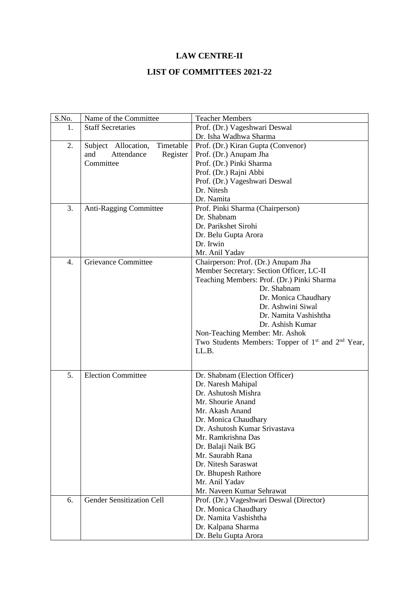## **LAW CENTRE-II**

## **LIST OF COMMITTEES 2021-22**

| S.No. | Name of the Committee            | <b>Teacher Members</b>                                                    |
|-------|----------------------------------|---------------------------------------------------------------------------|
| 1.    | <b>Staff Secretaries</b>         | Prof. (Dr.) Vageshwari Deswal                                             |
|       |                                  | Dr. Isha Wadhwa Sharma                                                    |
| 2.    | Subject Allocation,<br>Timetable | Prof. (Dr.) Kiran Gupta (Convenor)                                        |
|       | and<br>Attendance<br>Register    | Prof. (Dr.) Anupam Jha                                                    |
|       | Committee                        | Prof. (Dr.) Pinki Sharma                                                  |
|       |                                  | Prof. (Dr.) Rajni Abbi                                                    |
|       |                                  | Prof. (Dr.) Vageshwari Deswal                                             |
|       |                                  | Dr. Nitesh                                                                |
|       |                                  | Dr. Namita                                                                |
| 3.    | Anti-Ragging Committee           | Prof. Pinki Sharma (Chairperson)                                          |
|       |                                  | Dr. Shabnam                                                               |
|       |                                  | Dr. Parikshet Sirohi                                                      |
|       |                                  | Dr. Belu Gupta Arora                                                      |
|       |                                  | Dr. Irwin                                                                 |
|       |                                  | Mr. Anil Yadav                                                            |
| 4.    | Grievance Committee              | Chairperson: Prof. (Dr.) Anupam Jha                                       |
|       |                                  | Member Secretary: Section Officer, LC-II                                  |
|       |                                  | Teaching Members: Prof. (Dr.) Pinki Sharma                                |
|       |                                  | Dr. Shabnam                                                               |
|       |                                  | Dr. Monica Chaudhary                                                      |
|       |                                  | Dr. Ashwini Siwal                                                         |
|       |                                  | Dr. Namita Vashishtha                                                     |
|       |                                  | Dr. Ashish Kumar                                                          |
|       |                                  | Non-Teaching Member: Mr. Ashok                                            |
|       |                                  | Two Students Members: Topper of 1 <sup>st</sup> and 2 <sup>nd</sup> Year, |
|       |                                  | LL.B.                                                                     |
|       |                                  |                                                                           |
| 5.    | <b>Election Committee</b>        | Dr. Shabnam (Election Officer)                                            |
|       |                                  | Dr. Naresh Mahipal                                                        |
|       |                                  | Dr. Ashutosh Mishra                                                       |
|       |                                  | Mr. Shourie Anand                                                         |
|       |                                  | Mr. Akash Anand                                                           |
|       |                                  |                                                                           |
|       |                                  | Dr. Monica Chaudhary                                                      |
|       |                                  | Dr. Ashutosh Kumar Srivastava<br>Mr. Ramkrishna Das                       |
|       |                                  |                                                                           |
|       |                                  | Dr. Balaji Naik BG<br>Mr. Saurabh Rana                                    |
|       |                                  | Dr. Nitesh Saraswat                                                       |
|       |                                  |                                                                           |
|       |                                  | Dr. Bhupesh Rathore<br>Mr. Anil Yadav                                     |
|       |                                  |                                                                           |
|       |                                  | Mr. Naveen Kumar Sehrawat                                                 |
| 6.    | <b>Gender Sensitization Cell</b> | Prof. (Dr.) Vageshwari Deswal (Director)                                  |
|       |                                  | Dr. Monica Chaudhary                                                      |
|       |                                  | Dr. Namita Vashishtha                                                     |
|       |                                  | Dr. Kalpana Sharma                                                        |
|       |                                  | Dr. Belu Gupta Arora                                                      |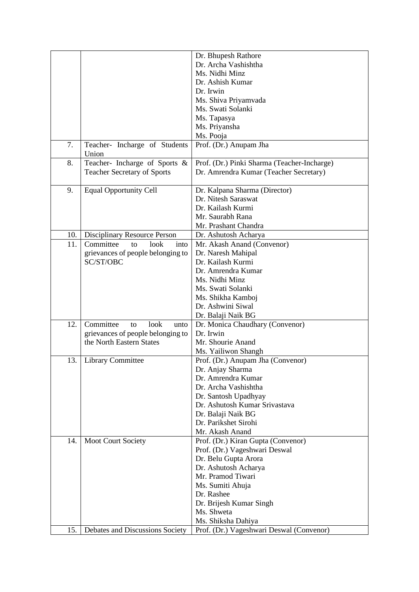|     |                                     | Dr. Bhupesh Rathore                         |
|-----|-------------------------------------|---------------------------------------------|
|     |                                     | Dr. Archa Vashishtha                        |
|     |                                     | Ms. Nidhi Minz                              |
|     |                                     | Dr. Ashish Kumar                            |
|     |                                     | Dr. Irwin                                   |
|     |                                     | Ms. Shiva Priyamvada                        |
|     |                                     | Ms. Swati Solanki                           |
|     |                                     | Ms. Tapasya                                 |
|     |                                     | Ms. Priyansha                               |
|     |                                     | Ms. Pooja                                   |
| 7.  |                                     |                                             |
|     | Teacher- Incharge of Students       | Prof. (Dr.) Anupam Jha                      |
| 8.  | Union                               |                                             |
|     | Teacher- Incharge of Sports &       | Prof. (Dr.) Pinki Sharma (Teacher-Incharge) |
|     | <b>Teacher Secretary of Sports</b>  | Dr. Amrendra Kumar (Teacher Secretary)      |
|     |                                     |                                             |
| 9.  | <b>Equal Opportunity Cell</b>       | Dr. Kalpana Sharma (Director)               |
|     |                                     | Dr. Nitesh Saraswat                         |
|     |                                     | Dr. Kailash Kurmi                           |
|     |                                     | Mr. Saurabh Rana                            |
|     |                                     | Mr. Prashant Chandra                        |
| 10. | <b>Disciplinary Resource Person</b> | Dr. Ashutosh Acharya                        |
| 11. | Committee<br>look<br>to<br>into     | Mr. Akash Anand (Convenor)                  |
|     | grievances of people belonging to   | Dr. Naresh Mahipal                          |
|     | SC/ST/OBC                           | Dr. Kailash Kurmi                           |
|     |                                     | Dr. Amrendra Kumar                          |
|     |                                     | Ms. Nidhi Minz                              |
|     |                                     | Ms. Swati Solanki                           |
|     |                                     | Ms. Shikha Kamboj                           |
|     |                                     |                                             |
|     |                                     | Dr. Ashwini Siwal                           |
|     |                                     | Dr. Balaji Naik BG                          |
| 12. | Committee<br>look<br>to<br>unto     | Dr. Monica Chaudhary (Convenor)             |
|     | grievances of people belonging to   | Dr. Irwin                                   |
|     | the North Eastern States            | Mr. Shourie Anand                           |
|     |                                     | Ms. Yailiwon Shangh                         |
| 13. | <b>Library Committee</b>            | Prof. (Dr.) Anupam Jha (Convenor)           |
|     |                                     | Dr. Anjay Sharma                            |
|     |                                     | Dr. Amrendra Kumar                          |
|     |                                     | Dr. Archa Vashishtha                        |
|     |                                     | Dr. Santosh Upadhyay                        |
|     |                                     | Dr. Ashutosh Kumar Srivastava               |
|     |                                     | Dr. Balaji Naik BG                          |
|     |                                     | Dr. Parikshet Sirohi                        |
|     |                                     | Mr. Akash Anand                             |
| 14. | Moot Court Society                  | Prof. (Dr.) Kiran Gupta (Convenor)          |
|     |                                     | Prof. (Dr.) Vageshwari Deswal               |
|     |                                     | Dr. Belu Gupta Arora                        |
|     |                                     |                                             |
|     |                                     | Dr. Ashutosh Acharya                        |
|     |                                     | Mr. Pramod Tiwari                           |
|     |                                     | Ms. Sumiti Ahuja                            |
|     |                                     | Dr. Rashee                                  |
|     |                                     | Dr. Brijesh Kumar Singh                     |
|     |                                     | Ms. Shweta                                  |
|     |                                     | Ms. Shiksha Dahiya                          |
| 15. | Debates and Discussions Society     | Prof. (Dr.) Vageshwari Deswal (Convenor)    |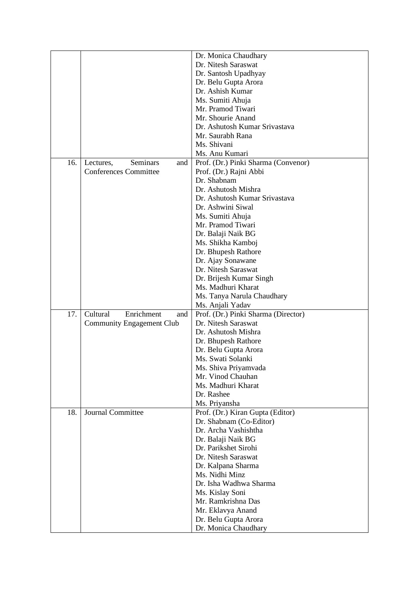|     |                                  | Dr. Monica Chaudhary                      |
|-----|----------------------------------|-------------------------------------------|
|     |                                  | Dr. Nitesh Saraswat                       |
|     |                                  | Dr. Santosh Upadhyay                      |
|     |                                  | Dr. Belu Gupta Arora                      |
|     |                                  | Dr. Ashish Kumar                          |
|     |                                  | Ms. Sumiti Ahuja                          |
|     |                                  | Mr. Pramod Tiwari                         |
|     |                                  | Mr. Shourie Anand                         |
|     |                                  | Dr. Ashutosh Kumar Srivastava             |
|     |                                  | Mr. Saurabh Rana                          |
|     |                                  | Ms. Shivani                               |
|     |                                  | Ms. Anu Kumari                            |
| 16. | Seminars<br>Lectures,<br>and     | Prof. (Dr.) Pinki Sharma (Convenor)       |
|     | <b>Conferences Committee</b>     | Prof. (Dr.) Rajni Abbi                    |
|     |                                  | Dr. Shabnam                               |
|     |                                  | Dr. Ashutosh Mishra                       |
|     |                                  | Dr. Ashutosh Kumar Srivastava             |
|     |                                  | Dr. Ashwini Siwal                         |
|     |                                  | Ms. Sumiti Ahuja                          |
|     |                                  | Mr. Pramod Tiwari                         |
|     |                                  | Dr. Balaji Naik BG                        |
|     |                                  | Ms. Shikha Kamboj                         |
|     |                                  | Dr. Bhupesh Rathore                       |
|     |                                  | Dr. Ajay Sonawane                         |
|     |                                  | Dr. Nitesh Saraswat                       |
|     |                                  | Dr. Brijesh Kumar Singh                   |
|     |                                  | Ms. Madhuri Kharat                        |
|     |                                  | Ms. Tanya Narula Chaudhary                |
|     |                                  | Ms. Anjali Yadav                          |
| 17. | Enrichment<br>Cultural<br>and    | Prof. (Dr.) Pinki Sharma (Director)       |
|     | <b>Community Engagement Club</b> | Dr. Nitesh Saraswat                       |
|     |                                  | Dr. Ashutosh Mishra                       |
|     |                                  | Dr. Bhupesh Rathore                       |
|     |                                  | Dr. Belu Gupta Arora                      |
|     |                                  | Ms. Swati Solanki                         |
|     |                                  | Ms. Shiva Priyamvada                      |
|     |                                  | Mr. Vinod Chauhan                         |
|     |                                  | Ms. Madhuri Kharat                        |
|     |                                  | Dr. Rashee                                |
|     |                                  | Ms. Priyansha                             |
| 18. | Journal Committee                | Prof. (Dr.) Kiran Gupta (Editor)          |
|     |                                  | Dr. Shabnam (Co-Editor)                   |
|     |                                  | Dr. Archa Vashishtha                      |
|     |                                  | Dr. Balaji Naik BG                        |
|     |                                  | Dr. Parikshet Sirohi                      |
|     |                                  | Dr. Nitesh Saraswat                       |
|     |                                  | Dr. Kalpana Sharma                        |
|     |                                  | Ms. Nidhi Minz                            |
|     |                                  | Dr. Isha Wadhwa Sharma                    |
|     |                                  | Ms. Kislay Soni                           |
|     |                                  |                                           |
|     |                                  |                                           |
|     |                                  | Mr. Ramkrishna Das                        |
|     |                                  | Mr. Eklavya Anand<br>Dr. Belu Gupta Arora |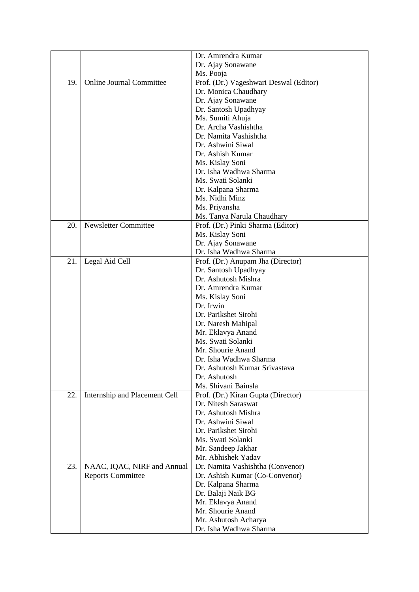|     |                                 | Dr. Amrendra Kumar                     |
|-----|---------------------------------|----------------------------------------|
|     |                                 | Dr. Ajay Sonawane                      |
|     |                                 | Ms. Pooja                              |
| 19. | <b>Online Journal Committee</b> | Prof. (Dr.) Vageshwari Deswal (Editor) |
|     |                                 | Dr. Monica Chaudhary                   |
|     |                                 | Dr. Ajay Sonawane                      |
|     |                                 |                                        |
|     |                                 | Dr. Santosh Upadhyay                   |
|     |                                 | Ms. Sumiti Ahuja                       |
|     |                                 | Dr. Archa Vashishtha                   |
|     |                                 | Dr. Namita Vashishtha                  |
|     |                                 | Dr. Ashwini Siwal                      |
|     |                                 | Dr. Ashish Kumar                       |
|     |                                 | Ms. Kislay Soni                        |
|     |                                 | Dr. Isha Wadhwa Sharma                 |
|     |                                 | Ms. Swati Solanki                      |
|     |                                 | Dr. Kalpana Sharma                     |
|     |                                 | Ms. Nidhi Minz                         |
|     |                                 | Ms. Priyansha                          |
|     |                                 | Ms. Tanya Narula Chaudhary             |
| 20. | <b>Newsletter Committee</b>     | Prof. (Dr.) Pinki Sharma (Editor)      |
|     |                                 | Ms. Kislay Soni                        |
|     |                                 | Dr. Ajay Sonawane                      |
|     |                                 | Dr. Isha Wadhwa Sharma                 |
| 21. | Legal Aid Cell                  | Prof. (Dr.) Anupam Jha (Director)      |
|     |                                 | Dr. Santosh Upadhyay                   |
|     |                                 | Dr. Ashutosh Mishra                    |
|     |                                 | Dr. Amrendra Kumar                     |
|     |                                 | Ms. Kislay Soni                        |
|     |                                 | Dr. Irwin                              |
|     |                                 | Dr. Parikshet Sirohi                   |
|     |                                 | Dr. Naresh Mahipal                     |
|     |                                 | Mr. Eklavya Anand                      |
|     |                                 | Ms. Swati Solanki                      |
|     |                                 | Mr. Shourie Anand                      |
|     |                                 | Dr. Isha Wadhwa Sharma                 |
|     |                                 | Dr. Ashutosh Kumar Srivastava          |
|     |                                 |                                        |
|     |                                 | Dr. Ashutosh                           |
|     |                                 | Ms. Shivani Bainsla                    |
| 22. | Internship and Placement Cell   | Prof. (Dr.) Kiran Gupta (Director)     |
|     |                                 | Dr. Nitesh Saraswat                    |
|     |                                 | Dr. Ashutosh Mishra                    |
|     |                                 | Dr. Ashwini Siwal                      |
|     |                                 | Dr. Parikshet Sirohi                   |
|     |                                 | Ms. Swati Solanki                      |
|     |                                 | Mr. Sandeep Jakhar                     |
|     |                                 | Mr. Abhishek Yadav                     |
| 23. | NAAC, IQAC, NIRF and Annual     | Dr. Namita Vashishtha (Convenor)       |
|     | <b>Reports Committee</b>        | Dr. Ashish Kumar (Co-Convenor)         |
|     |                                 | Dr. Kalpana Sharma                     |
|     |                                 | Dr. Balaji Naik BG                     |
|     |                                 | Mr. Eklavya Anand                      |
|     |                                 | Mr. Shourie Anand                      |
|     |                                 | Mr. Ashutosh Acharya                   |
|     |                                 | Dr. Isha Wadhwa Sharma                 |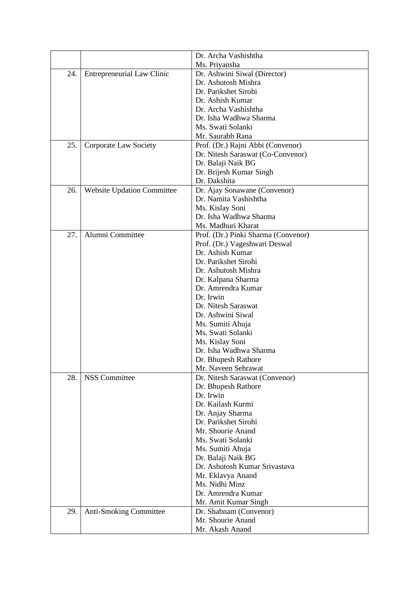|     |                                   | Dr. Archa Vashishtha                |
|-----|-----------------------------------|-------------------------------------|
|     |                                   | Ms. Priyansha                       |
| 24. | <b>Entrepreneurial Law Clinic</b> | Dr. Ashwini Siwal (Director)        |
|     |                                   | Dr. Ashutosh Mishra                 |
|     |                                   | Dr. Parikshet Sirohi                |
|     |                                   | Dr. Ashish Kumar                    |
|     |                                   | Dr. Archa Vashishtha                |
|     |                                   | Dr. Isha Wadhwa Sharma              |
|     |                                   | Ms. Swati Solanki                   |
|     |                                   | Mr. Saurabh Rana                    |
| 25. | <b>Corporate Law Society</b>      | Prof. (Dr.) Rajni Abbi (Convenor)   |
|     |                                   | Dr. Nitesh Saraswat (Co-Convenor)   |
|     |                                   | Dr. Balaji Naik BG                  |
|     |                                   | Dr. Brijesh Kumar Singh             |
|     |                                   | Dr. Dakshita                        |
| 26. | <b>Website Updation Committee</b> | Dr. Ajay Sonawane (Convenor)        |
|     |                                   | Dr. Namita Vashishtha               |
|     |                                   | Ms. Kislay Soni                     |
|     |                                   | Dr. Isha Wadhwa Sharma              |
|     |                                   | Ms. Madhuri Kharat                  |
| 27. | Alumni Committee                  | Prof. (Dr.) Pinki Sharma (Convenor) |
|     |                                   | Prof. (Dr.) Vageshwari Deswal       |
|     |                                   | Dr. Ashish Kumar                    |
|     |                                   | Dr. Parikshet Sirohi                |
|     |                                   | Dr. Ashutosh Mishra                 |
|     |                                   | Dr. Kalpana Sharma                  |
|     |                                   | Dr. Amrendra Kumar                  |
|     |                                   | Dr. Irwin                           |
|     |                                   | Dr. Nitesh Saraswat                 |
|     |                                   | Dr. Ashwini Siwal                   |
|     |                                   | Ms. Sumiti Ahuja                    |
|     |                                   | Ms. Swati Solanki                   |
|     |                                   | Ms. Kislay Soni                     |
|     |                                   | Dr. Isha Wadhwa Sharma              |
|     |                                   | Dr. Bhupesh Rathore                 |
|     |                                   | Mr. Naveen Sehrawat                 |
| 28. | <b>NSS Committee</b>              | Dr. Nitesh Saraswat (Convenor)      |
|     |                                   | Dr. Bhupesh Rathore                 |
|     |                                   | Dr. Irwin                           |
|     |                                   | Dr. Kailash Kurmi                   |
|     |                                   | Dr. Anjay Sharma                    |
|     |                                   | Dr. Parikshet Sirohi                |
|     |                                   | Mr. Shourie Anand                   |
|     |                                   | Ms. Swati Solanki                   |
|     |                                   | Ms. Sumiti Ahuja                    |
|     |                                   | Dr. Balaji Naik BG                  |
|     |                                   | Dr. Ashutosh Kumar Srivastava       |
|     |                                   | Mr. Eklavya Anand                   |
|     |                                   | Ms. Nidhi Minz                      |
|     |                                   | Dr. Amrendra Kumar                  |
|     |                                   | Mr. Amit Kumar Singh                |
| 29. | <b>Anti-Smoking Committee</b>     | Dr. Shabnam (Convenor)              |
|     |                                   | Mr. Shourie Anand                   |
|     |                                   | Mr. Akash Anand                     |